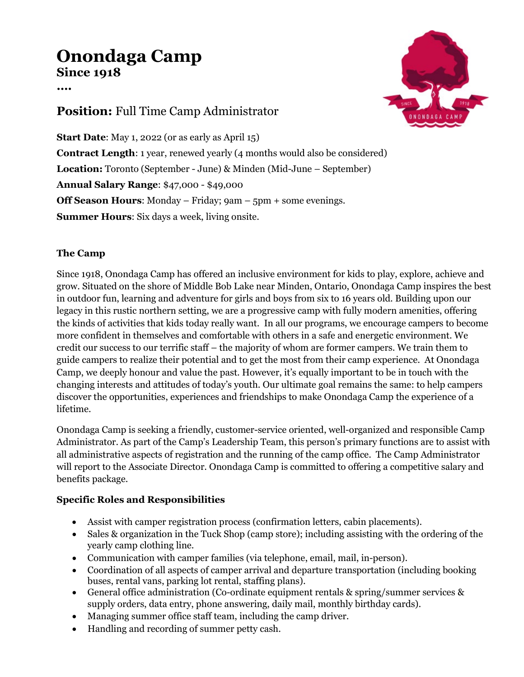# **Onondaga Camp Since 1918**

**….**

## **Position:** Full Time Camp Administrator

**Start Date**: May 1, 2022 (or as early as April 15) **Contract Length**: 1 year, renewed yearly (4 months would also be considered) **Location:** Toronto (September - June) & Minden (Mid-June – September) **Annual Salary Range**: \$47,000 - \$49,000 **Off Season Hours**: Monday – Friday; 9am – 5pm + some evenings. **Summer Hours**: Six days a week, living onsite.

### **The Camp**

Since 1918, Onondaga Camp has offered an inclusive environment for kids to play, explore, achieve and grow. Situated on the shore of Middle Bob Lake near Minden, Ontario, Onondaga Camp inspires the best in outdoor fun, learning and adventure for girls and boys from six to 16 years old. Building upon our legacy in this rustic northern setting, we are a progressive camp with fully modern amenities, offering the kinds of activities that kids today really want. In all our programs, we encourage campers to become more confident in themselves and comfortable with others in a safe and energetic environment. We credit our success to our terrific staff – the majority of whom are former campers. We train them to guide campers to realize their potential and to get the most from their camp experience. At Onondaga Camp, we deeply honour and value the past. However, it's equally important to be in touch with the changing interests and attitudes of today's youth. Our ultimate goal remains the same: to help campers discover the opportunities, experiences and friendships to make Onondaga Camp the experience of a lifetime.

Onondaga Camp is seeking a friendly, customer-service oriented, well-organized and responsible Camp Administrator. As part of the Camp's Leadership Team, this person's primary functions are to assist with all administrative aspects of registration and the running of the camp office. The Camp Administrator will report to the Associate Director. Onondaga Camp is committed to offering a competitive salary and benefits package.

### **Specific Roles and Responsibilities**

- Assist with camper registration process (confirmation letters, cabin placements).
- Sales & organization in the Tuck Shop (camp store); including assisting with the ordering of the yearly camp clothing line.
- Communication with camper families (via telephone, email, mail, in-person).
- Coordination of all aspects of camper arrival and departure transportation (including booking buses, rental vans, parking lot rental, staffing plans).
- General office administration (Co-ordinate equipment rentals & spring/summer services & supply orders, data entry, phone answering, daily mail, monthly birthday cards).
- Managing summer office staff team, including the camp driver.
- Handling and recording of summer petty cash.